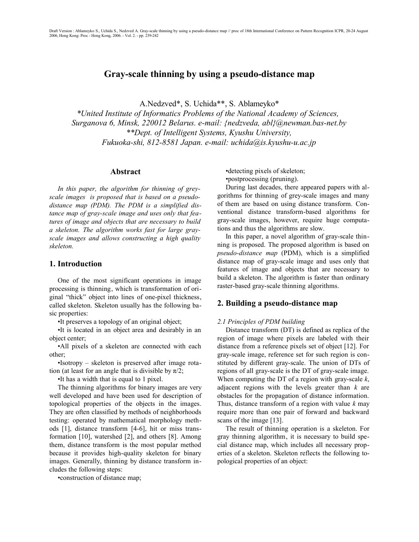# **Gray-scale thinning by using a pseudo-distance map**

A.Nedzved\*, S. Uchida\*\*, S. Ablameyko\*

*\*United Institute of Informatics Problems of the National Academy of Sciences, Surganova 6, Minsk, 220012 Belarus. e-mail: {nedzveda, abl}@newman.bas-net.by \*\*Dept. of Intelligent Systems, Kyushu University, Fukuoka-shi, 812-8581 Japan. e-mail: uchida@is.kyushu-u.ac.jp*

### **Abstract**

*In this paper, the algorithm for thinning of greyscale images is proposed that is based on a pseudodistance map (PDM). The PDM is a simplified distance map of gray-scale image and uses only that features of image and objects that are necessary to build a skeleton. The algorithm works fast for large grayscale images and allows constructing a high quality skeleton.*

## **1. Introduction**

One of the most significant operations in image processing is thinning, which is transformation of original "thick" object into lines of one-pixel thickness, called skeleton. Skeleton usually has the following basic properties:

•It preserves a topology of an original object;

•It is located in an object area and desirably in an object center;

•All pixels of a skeleton are connected with each other;

•Isotropy – skeleton is preserved after image rotation (at least for an angle that is divisible by  $\pi/2$ ;

•It has a width that is equal to 1 pixel.

The thinning algorithms for binary images are very well developed and have been used for description of topological properties of the objects in the images. They are often classified by methods of neighborhoods testing: operated by mathematical morphology methods [1], distance transform [4-6], hit or miss transformation [10], watershed [2], and others [8]. Among them, distance transform is the most popular method because it provides high-quality skeleton for binary images. Generally, thinning by distance transform includes the following steps:

•construction of distance map;

•detecting pixels of skeleton; •postprocessing (pruning).

During last decades, there appeared papers with algorithms for thinning of grey-scale images and many of them are based on using distance transform. Conventional distance transform-based algorithms for gray-scale images, however, require huge computations and thus the algorithms are slow.

In this paper, a novel algorithm of gray-scale thinning is proposed. The proposed algorithm is based on *pseudo-distance map* (PDM), which is a simplified distance map of gray-scale image and uses only that features of image and objects that are necessary to build a skeleton. The algorithm is faster than ordinary raster-based gray-scale thinning algorithms.

### **2. Building a pseudo-distance map**

#### *2.1 Principles of PDM building*

Distance transform (DT) is defined as replica of the region of image where pixels are labeled with their distance from a reference pixels set of object [12]. For gray-scale image, reference set for such region is constituted by different gray-scale. The union of DTs of regions of all gray-scale is the DT of gray-scale image. When computing the DT of a region with gray-scale *k*, adjacent regions with the levels greater than *k* are obstacles for the propagation of distance information. Thus, distance transform of a region with value *k* may require more than one pair of forward and backward scans of the image [13].

The result of thinning operation is a skeleton. For gray thinning algorithm, it is necessary to build special distance map, which includes all necessary properties of a skeleton. Skeleton reflects the following topological properties of an object: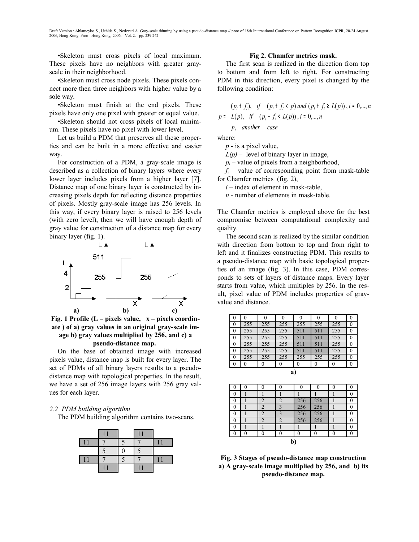Draft Version : Ablameyko S., Uchida S., Nedzved A. Gray-scale thinning by using a pseudo-distance map // proc of 18th International Conference on Pattern Recognition ICPR, 20-24 August 2006, Hong Kong: Proc - Hong Kong, 2006. - Vol. 2. - pp. 239-242

•Skeleton must cross pixels of local maximum. These pixels have no neighbors with greater grayscale in their neighborhood.

•Skeleton must cross node pixels. These pixels connect more then three neighbors with higher value by a sole way.

•Skeleton must finish at the end pixels. These pixels have only one pixel with greater or equal value.

•Skeleton should not cross pixels of local minimum. These pixels have no pixel with lower level.

Let us build a PDM that preserves all these properties and can be built in a more effective and easier way.

For construction of a PDM, a gray-scale image is described as a collection of binary layers where every lower layer includes pixels from a higher layer [7]. Distance map of one binary layer is constructed by increasing pixels depth for reflecting distance properties of pixels. Mostly gray-scale image has 256 levels. In this way, if every binary layer is raised to 256 levels (with zero level), then we will have enough depth of gray value for construction of a distance map for every binary layer (fig. 1).



**Fig. 1 Profile (L – pixels value, x – pixels coordinate ) of a) gray values in an original gray-scale image b) gray values multiplied by 256, and c) a pseudo-distance map.** 

On the base of obtained image with increased pixels value, distance map is built for every layer. The set of PDMs of all binary layers results to a pseudodistance map with topological properties. In the result, we have a set of 256 image layers with 256 gray values for each layer.

#### *2.2 PDM building algorithm*

The PDM building algorithm contains two-scans.

#### **Fig 2. Chamfer metrics mask.**

The first scan is realized in the direction from top to bottom and from left to right. For constructing PDM in this direction, every pixel is changed by the following condition:

$$
p = \begin{cases} (p_i + f_i), & \text{if } (p_i + f_i < p) \text{ and } (p_i + f_i \ge L(p)), \text{ } i = 0, \dots, n \\ L(p), & \text{if } (p_i + f_i < L(p)), \text{ } i = 0, \dots, n \\ p, & \text{another } case \end{cases}
$$

where:

*p* - is a pixel value,

 $L(p)$  – level of binary layer in image,

 $p_i$  – value of pixels from a neighborhood,

 $f_i$  – value of corresponding point from mask-table for Chamfer metrics (fig. 2),

 $i$  – index of element in mask-table,

*n* - number of elements in mask-table.

The Chamfer metrics is employed above for the best compromise between computational complexity and quality.

The second scan is realized by the similar condition with direction from bottom to top and from right to left and it finalizes constructing PDM. This results to a pseudo-distance map with basic topological properties of an image (fig. 3). In this case, PDM corresponds to sets of layers of distance maps. Every layer starts from value, which multiples by 256. In the result, pixel value of PDM includes properties of grayvalue and distance.





| 0            |  |  |  |     |     |  |  |
|--------------|--|--|--|-----|-----|--|--|
| 0            |  |  |  |     |     |  |  |
|              |  |  |  | 256 | 256 |  |  |
|              |  |  |  | 256 | 256 |  |  |
|              |  |  |  | 256 | 256 |  |  |
|              |  |  |  | 256 | 256 |  |  |
|              |  |  |  |     |     |  |  |
| 0            |  |  |  |     |     |  |  |
| $\mathbf{b}$ |  |  |  |     |     |  |  |

**Fig. 3 Stages of pseudo-distance map construction a) A gray-scale image multiplied by 256, and b) its pseudo-distance map.**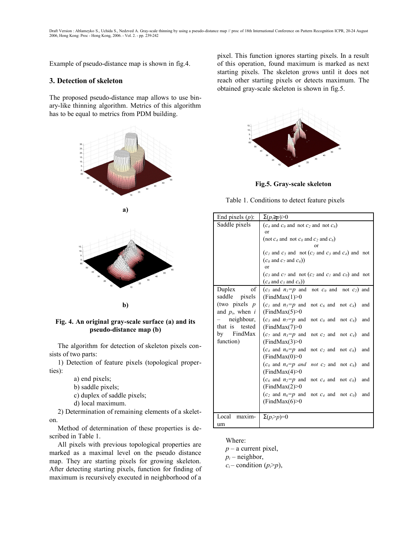Example of pseudo-distance map is shown in fig.4.

## **3. Detection of skeleton**

The proposed pseudo-distance map allows to use binary-like thinning algorithm. Metrics of this algorithm has to be equal to metrics from PDM building.





**b)**

**Fig. 4. An original gray-scale surface (a) and its pseudo-distance map (b)**

The algorithm for detection of skeleton pixels consists of two parts:

1) Detection of feature pixels (topological properties):

- a) end pixels;
- b) saddle pixels;
- c) duplex of saddle pixels;
- d) local maximum.

2) Determination of remaining elements of a skeleton.

Method of determination of these properties is described in Table 1.

All pixels with previous topological properties are marked as a maximal level on the pseudo distance map. They are starting pixels for growing skeleton. After detecting starting pixels, function for finding of maximum is recursively executed in neighborhood of a

pixel. This function ignores starting pixels. In a result of this operation, found maximum is marked as next starting pixels. The skeleton grows until it does not reach other starting pixels or detects maximum. The obtained gray-scale skeleton is shown in fig.5.



**Fig.5. Gray-scale skeleton**

Table 1. Conditions to detect feature pixels

| End pixels $(p)$ :   | $\Sigma(p_i \geq p) > 0$                                                                      |  |  |  |  |
|----------------------|-----------------------------------------------------------------------------------------------|--|--|--|--|
| Saddle pixels        | $(c_4 \text{ and } c_0 \text{ and not } c_2 \text{ and not } c_6)$                            |  |  |  |  |
|                      | or                                                                                            |  |  |  |  |
|                      | (not $c_4$ and not $c_0$ and $c_2$ and $c_6$ )                                                |  |  |  |  |
|                      | or                                                                                            |  |  |  |  |
|                      | $(c1$ and $c5$ and not $(c2$ and $c3$ and $c4$ ) and not                                      |  |  |  |  |
|                      | $(c_0 \text{ and } c_7 \text{ and } c_6)$                                                     |  |  |  |  |
|                      | or                                                                                            |  |  |  |  |
|                      | $(c_3 \text{ and } c_7 \text{ and not } (c_2 \text{ and } c_1 \text{ and } c_0)$ and not      |  |  |  |  |
|                      | $(c_4 \text{ and } c_5 \text{ and } c_6)$                                                     |  |  |  |  |
| of<br>Duplex         | $(c_5 \text{ and } n_1=p \text{ and } \text{ not } c_0 \text{ and } \text{ not } c_2)$ and    |  |  |  |  |
| saddle pixels        | (FindMax(1) > 0                                                                               |  |  |  |  |
| (two pixels $p$      | $(c_1 \text{ and } n_5=p \text{ and not } c_6 \text{ and not } c_4)$ and                      |  |  |  |  |
| and $p_i$ , when $i$ | (FindMax(5) > 0                                                                               |  |  |  |  |
| $neighbour, \vert$   | $(c_3 \text{ and } n_7=p \text{ and } \text{ not } c_0 \text{ and } \text{ not } c_6)$<br>and |  |  |  |  |
| that is tested       | (FindMax(7) > 0                                                                               |  |  |  |  |
| by FindMax           | $(c_7 \text{ and } n_3=p \text{ and not } c_2 \text{ and not } c_4)$ and                      |  |  |  |  |
| function)            | (FindMax(3) > 0                                                                               |  |  |  |  |
|                      | $(c_4 \text{ and } n_0=p \text{ and not } c_2 \text{ and not } c_6)$<br>and                   |  |  |  |  |
|                      | (FindMax(0) > 0                                                                               |  |  |  |  |
|                      | $(c_0 \text{ and } n_4=p \text{ and } \text{ not } c_2 \text{ and } \text{ not } c_6)$<br>and |  |  |  |  |
|                      | (FindMax(4) > 0                                                                               |  |  |  |  |
|                      | $(c_6 \text{ and } n_2=p \text{ and } \text{ not } c_4 \text{ and } \text{ not } c_0)$ and    |  |  |  |  |
|                      | (FindMax(2) > 0                                                                               |  |  |  |  |
|                      | $(c_2 \text{ and } n_6 = p \text{ and not } c_4 \text{ and not } c_0)$<br>and                 |  |  |  |  |
|                      | (FindMax(6) > 0                                                                               |  |  |  |  |
|                      |                                                                                               |  |  |  |  |
| Local<br>maxim-      | $\Sigma(p_i > p)=0$                                                                           |  |  |  |  |
| um                   |                                                                                               |  |  |  |  |

Where:

*р* – a current pixel,

 $p_i$  – neighbor,

 $c_i$  – condition ( $p_i$ > $p$ ),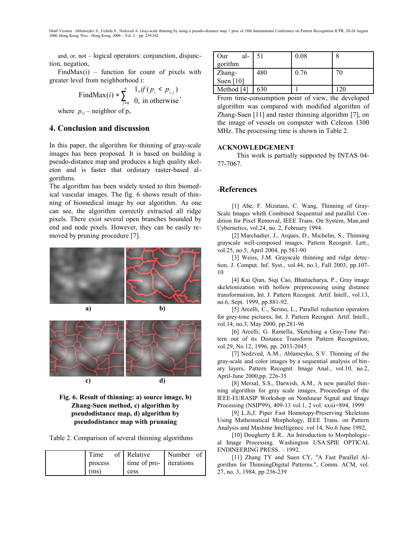and, or, not – logical operators: conjunction, disjunction, negation,

FindMax $(i)$  – function for count of pixels with greater level from neighborhood i:

FindMax(*i*) = 
$$
\sum_{j=0}^{n} \begin{cases} 1, & \text{if } (p_i < p_{i,j}) \\ 0, & \text{in otherwise} \end{cases}
$$

where  $p_{i,j}$  – neighbor of  $p_i$ .

## **4. Conclusion and discussion**

In this paper, the algorithm for thinning of gray-scale images has been proposed. It is based on building a pseudo-distance map and produces a high quality skeleton and is faster that ordinary raster-based algorithms.

The algorithm has been widely tested to thin biomedical vascular images. The fig. 6 shows result of thinning of biomedical image by our algorithm. As one can see, the algorithm correctly extracted all ridge pixels. There exist several open branches bounded by end and node pixels. However, they can be easily removed by pruning procedure [7].





**Fig. 6. Result of thinning: a) source image, b) Zhang-Suen method, c) algorithm by pseudodistance map, d) algorithm by pseudodistance map with prunning**

Table 2. Comparison of several thinning algorithms

| Time    | of Relative             | Number of |
|---------|-------------------------|-----------|
| process | time of pro- iterations |           |
| (ms)    | cess                    |           |

| al-<br>Our  | 51  | 0.08 |     |
|-------------|-----|------|-----|
| gorithm     |     |      |     |
| Zhang-      | 480 | 0.76 | 70  |
| Suen $[10]$ |     |      |     |
| Method [4]  | 630 |      | 120 |

From time-consumption point of view, the developed algorithm was compared with modified algorithm of Zhang-Suen [11] and raster thinning algorithm [7], on the image of vessels on computer with Celeron 1300 MHz. The processing time is shown in Table 2.

## **ACKNOWLEDGEMENT**

This work is partially supported by INTAS 04- 77-7067.

## **References**

[1] Abe, F. Mizutani, C. Wang, Thinning of Gray-Scale Images whith Combined Sequential and parallel Condition for Pixel Removal, IEEE Trans. On System, Man,and Cybernetics, vol.24, no. 2, February 1994.

[2] Marchadier, J., Arques, D., Michelin, S., Thinning grayscale well-composed images, Pattern Recognit. Lett., vol.25, no.5, April 2004, pp.581-90

[3] Weiss, J.M. Grayscale thinning and ridge detection, J. Comput. Inf. Syst., vol.44, no.1, Fall 2003, pp.107- 10

[4] Kai Qian, Siqi Cao, Bhattacharya, P., Gray image skeletonization with hollow preprocessing using distance transformation, Int. J. Pattern Recognit. Artif. Intell., vol.13, no.6, Sept. 1999, pp.881-92.

[5] Arcelli, C., Serino, L., Parallel reduction operators for grey-tone pictures, Int. J. Pattern Recognit. Artif. Intell., vol.14, no.3, May 2000, pp.281-96

[6] Arcelli, G. Ramella, Sketching a Gray-Tone Pattern out of its Distance Transform Pattern Recognition, vol.29, No 12, 1996, pp. 2033-2045.

[7] Nedzved, A.M., Ablameyko, S.V. Thinning of the gray-scale and color images by a sequential analysis of binary layers, Pattern Recognit. Image Anal., vol.10, no.2, April-June 2000,pp. 226-35

[8] Mersal, S.S., Darwish, A.M., A new parallel thinning algorithm for gray scale images, Proceedings of the IEEE-EURASIP Workshop on Nonlinear Signal and Image Processing (NSIP'99), 409-13 vol.1, 2 vol. xxiii+894, 1999

[9] L.Ji,J. Piper Fast Homotopy-Preserving Skeletons Using Mathematical Morphology, IEEE Trans. on Pattern Analysis and Mashine Intelligence .vol 14, No.6 June 1992,

[10] Dougherty E.R.. An Introduction to Morphological Image Processing. Washington USA:SPIE OPTICAL ENDINEERING PRESS. – 1992.

[11] Zhang TY and Suen CY, "A Fast Parallel Algorithm for ThinningDigital Patterns.", Comm. ACM, vol. 27, no. 3, 1984, pp 236-239